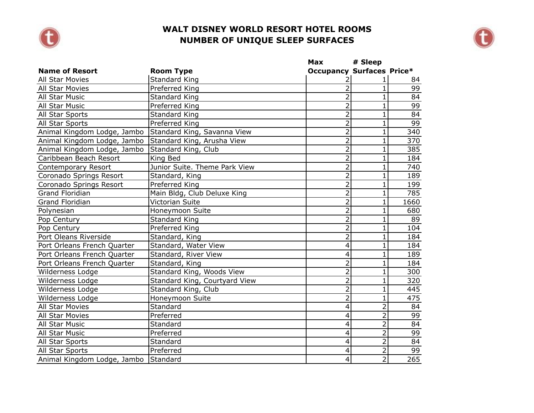



|                                      |                               | Max                              | # Sleep        |                  |
|--------------------------------------|-------------------------------|----------------------------------|----------------|------------------|
| <b>Name of Resort</b>                | <b>Room Type</b>              | <b>Occupancy Surfaces Price*</b> |                |                  |
| All Star Movies                      | <b>Standard King</b>          | 2                                |                | 84               |
| <b>All Star Movies</b>               | Preferred King                | $\overline{2}$                   | 1              | 99               |
| All Star Music                       | Standard King                 | $\overline{2}$                   | $\mathbf{1}$   | 84               |
| All Star Music                       | Preferred King                | $\overline{2}$                   | 1              | 99               |
| All Star Sports                      | <b>Standard King</b>          | $\overline{2}$                   | $\mathbf{1}$   | 84               |
| All Star Sports                      | Preferred King                | $\overline{2}$                   | $\mathbf{1}$   | 99               |
| Animal Kingdom Lodge, Jambo          | Standard King, Savanna View   | $\overline{2}$                   | $\mathbf{1}$   | 340              |
| Animal Kingdom Lodge, Jambo          | Standard King, Arusha View    | $\overline{2}$                   | $\overline{1}$ | 370              |
| Animal Kingdom Lodge, Jambo          | Standard King, Club           | $\overline{2}$                   | 1              | 385              |
| Caribbean Beach Resort               | King Bed                      | $\overline{2}$                   |                | 184              |
| <b>Contemporary Resort</b>           | Junior Suite. Theme Park View | $\overline{2}$                   | $\overline{1}$ | 740              |
| Coronado Springs Resort              | Standard, King                | $\overline{2}$                   | $\mathbf{1}$   | 189              |
| Coronado Springs Resort              | Preferred King                | $\overline{2}$                   | $\mathbf{1}$   | 199              |
| Grand Floridian                      | Main Bldg, Club Deluxe King   | $\overline{2}$                   | $\mathbf{1}$   | 785              |
| <b>Grand Floridian</b>               | <b>Victorian Suite</b>        | $\overline{2}$                   | $\mathbf{1}$   | 1660             |
| Polynesian                           | Honeymoon Suite               | $\overline{2}$                   | 1              | 680              |
| Pop Century                          | Standard King                 | $\overline{2}$                   |                | 89               |
| Pop Century                          | Preferred King                | $\overline{2}$                   | 1              | 104              |
| Port Oleans Riverside                | Standard, King                | $\overline{2}$                   | $\mathbf{1}$   | 184              |
| Port Orleans French Quarter          | Standard, Water View          | $\overline{4}$                   | 1              | 184              |
| Port Orleans French Quarter          | Standard, River View          | 4                                | 1              | 189              |
| Port Orleans French Quarter          | Standard, King                | $\overline{2}$                   | 1              | 184              |
| Wilderness Lodge                     | Standard King, Woods View     | $\overline{2}$                   | 1              | 300              |
| Wilderness Lodge                     | Standard King, Courtyard View | $\overline{2}$                   | 1              | 320              |
| Wilderness Lodge                     | Standard King, Club           | $\overline{2}$                   | $\overline{1}$ | 445              |
| Wilderness Lodge                     | Honeymoon Suite               | $\overline{2}$                   | $\overline{1}$ | 475              |
| All Star Movies                      | Standard                      | 4                                | $\overline{2}$ | 84               |
| <b>All Star Movies</b>               | Preferred                     | $\overline{4}$                   | $\overline{2}$ | 99               |
| All Star Music                       | Standard                      | 4                                | $\overline{2}$ | 84               |
| All Star Music                       | Preferred                     | 4                                | $\overline{2}$ | 99               |
| All Star Sports                      | Standard                      | 4                                | $\overline{2}$ | 84               |
| All Star Sports                      | Preferred                     | 4                                | $\overline{2}$ | 99               |
| Animal Kingdom Lodge, Jambo Standard |                               | $\vert 4 \vert$                  | $\overline{2}$ | $\overline{265}$ |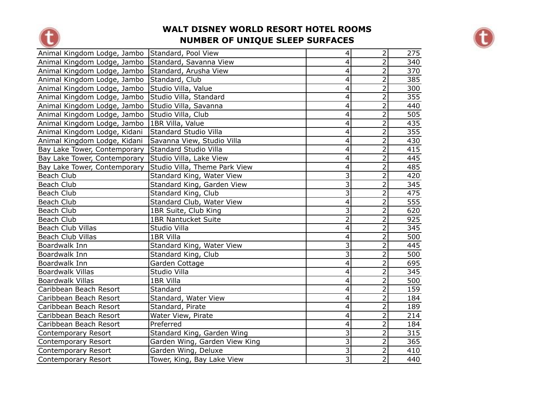



| Animal Kingdom Lodge, Jambo Standard, Pool View    |                               | $\overline{4}$            | $\overline{2}$ | 275 |
|----------------------------------------------------|-------------------------------|---------------------------|----------------|-----|
| Animal Kingdom Lodge, Jambo Standard, Savanna View |                               | $\overline{4}$            | $\overline{2}$ | 340 |
| Animal Kingdom Lodge, Jambo                        | Standard, Arusha View         | 4                         | $\overline{2}$ | 370 |
| Animal Kingdom Lodge, Jambo                        | Standard, Club                | $\overline{4}$            | $\overline{2}$ | 385 |
| Animal Kingdom Lodge, Jambo                        | Studio Villa, Value           | $\overline{4}$            | $\overline{2}$ | 300 |
| Animal Kingdom Lodge, Jambo                        | Studio Villa, Standard        | 4                         | $\overline{2}$ | 355 |
| Animal Kingdom Lodge, Jambo                        | Studio Villa, Savanna         | 4                         | $\overline{2}$ | 440 |
| Animal Kingdom Lodge, Jambo                        | Studio Villa, Club            | $\overline{\mathbf{4}}$   | $\overline{2}$ | 505 |
| Animal Kingdom Lodge, Jambo                        | 1BR Villa, Value              | 4                         | $\overline{2}$ | 435 |
| Animal Kingdom Lodge, Kidani                       | Standard Studio Villa         | 4                         | $\overline{2}$ | 355 |
| Animal Kingdom Lodge, Kidani                       | Savanna View, Studio Villa    | $\overline{4}$            | $\overline{2}$ | 430 |
| Bay Lake Tower, Contemporary                       | Standard Studio Villa         | $\overline{4}$            | $\overline{2}$ | 415 |
| Bay Lake Tower, Contemporary                       | Studio Villa, Lake View       | $\overline{4}$            | $\overline{2}$ | 445 |
| Bay Lake Tower, Contemporary                       | Studio Villa, Theme Park View | $\overline{4}$            | $\overline{2}$ | 485 |
| Beach Club                                         | Standard King, Water View     | $\overline{3}$            | $\overline{2}$ | 420 |
| Beach Club                                         | Standard King, Garden View    | $\overline{3}$            | $\overline{2}$ | 345 |
| Beach Club                                         | Standard King, Club           | $\overline{3}$            | $\overline{2}$ | 475 |
| Beach Club                                         | Standard Club, Water View     | $\overline{4}$            | $\overline{2}$ | 555 |
| Beach Club                                         | 1BR Suite, Club King          | $\overline{\overline{3}}$ | $\overline{2}$ | 620 |
| Beach Club                                         | <b>1BR Nantucket Suite</b>    | $\overline{2}$            | $\overline{2}$ | 925 |
| <b>Beach Club Villas</b>                           | Studio Villa                  | $\overline{4}$            | $\overline{2}$ | 345 |
| <b>Beach Club Villas</b>                           | 1BR Villa                     | $\overline{\mathbf{4}}$   | $\overline{2}$ | 500 |
| Boardwalk Inn                                      | Standard King, Water View     | $\overline{\mathbf{3}}$   | $\overline{2}$ | 445 |
| Boardwalk Inn                                      | Standard King, Club           | $\overline{\mathbf{3}}$   | $\overline{2}$ | 500 |
| Boardwalk Inn                                      | Garden Cottage                | $\overline{4}$            | $\overline{2}$ | 695 |
| <b>Boardwalk Villas</b>                            | Studio Villa                  | 4                         | $\overline{2}$ | 345 |
| <b>Boardwalk Villas</b>                            | 1BR Villa                     | $\overline{4}$            | $\overline{2}$ | 500 |
| Caribbean Beach Resort                             | Standard                      | $\overline{4}$            | $\overline{2}$ | 159 |
| Caribbean Beach Resort                             | Standard, Water View          | $\overline{\mathbf{4}}$   | $\overline{2}$ | 184 |
| Caribbean Beach Resort                             | Standard, Pirate              | 4                         | $\overline{2}$ | 189 |
| Caribbean Beach Resort                             | Water View, Pirate            | $\overline{4}$            | $\overline{2}$ | 214 |
| Caribbean Beach Resort                             | Preferred                     | 4                         | $\overline{2}$ | 184 |
| <b>Contemporary Resort</b>                         | Standard King, Garden Wing    | $\overline{3}$            | $\overline{2}$ | 315 |
| <b>Contemporary Resort</b>                         | Garden Wing, Garden View King | $\overline{3}$            | $\overline{2}$ | 365 |
| Contemporary Resort                                | Garden Wing, Deluxe           | $\overline{\mathbf{3}}$   | $\overline{2}$ | 410 |
| <b>Contemporary Resort</b>                         | Tower, King, Bay Lake View    | $\overline{3}$            | $\overline{2}$ | 440 |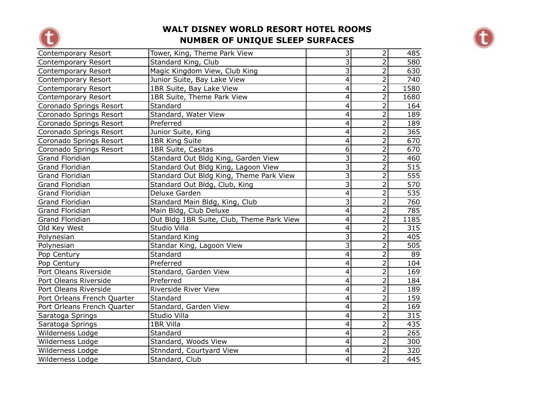



| Contemporary Resort         | Tower, King, Theme Park View              | $\overline{3}$            | $\overline{2}$ | 485              |
|-----------------------------|-------------------------------------------|---------------------------|----------------|------------------|
| Contemporary Resort         | Standard King, Club                       | $\overline{3}$            | $\overline{2}$ | 580              |
| Contemporary Resort         | Magic Kingdom View, Club King             | $\overline{3}$            | $\overline{2}$ | 630              |
| Contemporary Resort         | Junior Suite, Bay Lake View               | $\overline{4}$            | $\overline{2}$ | 740              |
| Contemporary Resort         | 1BR Suite, Bay Lake View                  | 4                         | $\overline{2}$ | 1580             |
| Contemporary Resort         | 1BR Suite, Theme Park View                | 4                         | $\overline{2}$ | 1680             |
| Coronado Springs Resort     | Standard                                  | $\overline{\mathbf{4}}$   | $\overline{2}$ | 164              |
| Coronado Springs Resort     | Standard, Water View                      | 4                         | $\overline{2}$ | 189              |
| Coronado Springs Resort     | Preferred                                 | 4                         | $\overline{2}$ | 189              |
| Coronado Springs Resort     | Junior Suite, King                        | 4                         | $\overline{2}$ | 365              |
| Coronado Springs Resort     | 1BR King Suite                            | $\overline{\mathbf{4}}$   | $\overline{2}$ | 670              |
| Coronado Springs Resort     | 1BR Suite, Casitas                        | $\overline{6}$            | $\overline{2}$ | 670              |
| Grand Floridian             | Standard Out Bldg King, Garden View       | $\overline{\mathbf{3}}$   | $\overline{2}$ | 460              |
| <b>Grand Floridian</b>      | Standard Out Bldg King, Lagoon View       | $\overline{\overline{3}}$ | $\overline{2}$ | $\overline{515}$ |
| Grand Floridian             | Standard Out Bldg King, Theme Park View   | $\overline{3}$            | $\overline{2}$ | 555              |
| <b>Grand Floridian</b>      | Standard Out Bldg, Club, King             | $\overline{3}$            | $\overline{2}$ | 570              |
| <b>Grand Floridian</b>      | Deluxe Garden                             | 4                         | 2              | 535              |
| <b>Grand Floridian</b>      | Standard Main Bldg, King, Club            | $\overline{3}$            | $\overline{2}$ | 760              |
| <b>Grand Floridian</b>      | Main Bldg, Club Deluxe                    | $\overline{\mathbf{4}}$   | $\overline{2}$ | 785              |
| Grand Floridian             | Out Bldg 1BR Suite, Club, Theme Park View | 4                         | $\overline{2}$ | 1185             |
| Old Key West                | Studio Villa                              | $\overline{\mathbf{4}}$   | $\overline{2}$ | 315              |
| Polynesian                  | Standard King                             | $\overline{3}$            | $\overline{2}$ | 405              |
| Polynesian                  | Standar King, Lagoon View                 | $\overline{3}$            | $\overline{2}$ | 505              |
| Pop Century                 | Standard                                  | 4                         | $\overline{2}$ | 89               |
| Pop Century                 | Preferred                                 | $\overline{\mathbf{4}}$   | $\overline{2}$ | 104              |
| Port Oleans Riverside       | Standard, Garden View                     | $\overline{4}$            | $\overline{2}$ | 169              |
| Port Oleans Riverside       | Preferred                                 | 4                         | $\overline{2}$ | 184              |
| Port Oleans Riverside       | <b>Riverside River View</b>               | $\overline{4}$            | $\overline{2}$ | 189              |
| Port Orleans French Quarter | Standard                                  | $\overline{\mathbf{4}}$   | $\overline{2}$ | 159              |
| Port Orleans French Quarter | Standard, Garden View                     | $\overline{\mathbf{4}}$   | $\overline{2}$ | 169              |
| Saratoga Springs            | Studio Villa                              | 4                         | $\overline{2}$ | 315              |
| Saratoga Springs            | 1BR Villa                                 | 4                         | $\overline{2}$ | 435              |
| Wilderness Lodge            | Standard                                  | 4                         | $\overline{2}$ | 265              |
| Wilderness Lodge            | Standard, Woods View                      | 4                         | $\overline{2}$ | 300              |
| Wilderness Lodge            | Stnndard, Courtyard View                  | 4                         | $\overline{2}$ | 320              |
| Wilderness Lodge            | Standard, Club                            | $\overline{4}$            | $\overline{2}$ | 445              |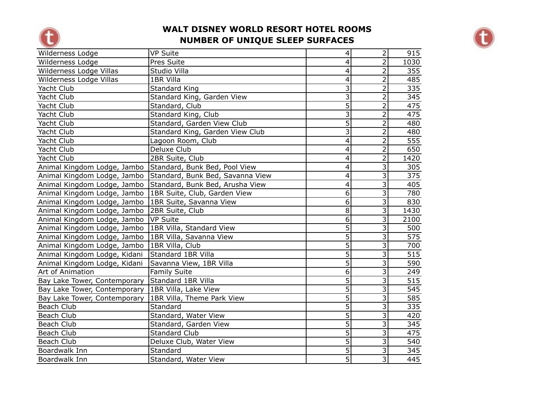



| Wilderness Lodge                                            | <b>VP Suite</b>                  | $\overline{\mathbf{4}}$ | $\overline{2}$          | 915             |
|-------------------------------------------------------------|----------------------------------|-------------------------|-------------------------|-----------------|
| Wilderness Lodge                                            | Pres Suite                       | $\overline{\mathbf{4}}$ | $\overline{2}$          | 1030            |
| Wilderness Lodge Villas                                     | Studio Villa                     | 4                       | 2                       | 355             |
| Wilderness Lodge Villas                                     | 1BR Villa                        | 4                       | $\overline{2}$          | 485             |
| Yacht Club                                                  | <b>Standard King</b>             | $\overline{3}$          | $\overline{2}$          | 335             |
| Yacht Club                                                  | Standard King, Garden View       | $\overline{\mathbf{3}}$ | $\overline{2}$          | 345             |
| Yacht Club                                                  | Standard, Club                   | $\overline{5}$          | $\overline{2}$          | 475             |
| Yacht Club                                                  | Standard King, Club              | $\overline{3}$          | $\overline{2}$          | 475             |
| Yacht Club                                                  | Standard, Garden View Club       | $\overline{5}$          | $\overline{2}$          | 480             |
| Yacht Club                                                  | Standard King, Garden View Club  | $\overline{3}$          | $\overline{2}$          | 480             |
| Yacht Club                                                  | Lagoon Room, Club                | $\overline{\mathbf{4}}$ | $\overline{2}$          | 555             |
| Yacht Club                                                  | Deluxe Club                      | 4                       | $\overline{2}$          | 650             |
| Yacht Club                                                  | 2BR Suite, Club                  | 4                       | $\overline{2}$          | 1420            |
| Animal Kingdom Lodge, Jambo   Standard, Bunk Bed, Pool View |                                  | 4                       | 3                       | 305             |
| Animal Kingdom Lodge, Jambo                                 | Standard, Bunk Bed, Savanna View | $\overline{4}$          | $\overline{3}$          | $\frac{1}{375}$ |
| Animal Kingdom Lodge, Jambo                                 | Standard, Bunk Bed, Arusha View  | $\overline{\mathbf{4}}$ | 3                       | 405             |
| Animal Kingdom Lodge, Jambo                                 | 1BR Suite, Club, Garden View     | $\overline{6}$          | 3                       | 780             |
| Animal Kingdom Lodge, Jambo                                 | 1BR Suite, Savanna View          | $\overline{6}$          | $\overline{3}$          | 830             |
| Animal Kingdom Lodge, Jambo                                 | 2BR Suite, Club                  | $\overline{8}$          | 3                       | 1430            |
| Animal Kingdom Lodge, Jambo                                 | VP Suite                         | $\overline{6}$          | 3                       | 2100            |
| Animal Kingdom Lodge, Jambo                                 | 1BR Villa, Standard View         | $\overline{5}$          | 3                       | 500             |
| Animal Kingdom Lodge, Jambo                                 | 1BR Villa, Savanna View          | $\overline{5}$          | $\overline{3}$          | 575             |
| Animal Kingdom Lodge, Jambo                                 | 1BR Villa, Club                  | $\overline{5}$          | $\overline{3}$          | 700             |
| Animal Kingdom Lodge, Kidani                                | Standard 1BR Villa               | $\overline{5}$          | $\overline{3}$          | 515             |
| Animal Kingdom Lodge, Kidani                                | Savanna View, 1BR Villa          | $\overline{5}$          | $\overline{3}$          | 590             |
| Art of Animation                                            | <b>Family Suite</b>              | $\overline{6}$          | $\overline{\mathbf{3}}$ | 249             |
| Bay Lake Tower, Contemporary                                | Standard 1BR Villa               | $\overline{5}$          | 3                       | 515             |
| Bay Lake Tower, Contemporary                                | 1BR Villa, Lake View             | $\overline{5}$          | $\overline{3}$          | 545             |
| Bay Lake Tower, Contemporary                                | 1BR Villa, Theme Park View       | $\overline{5}$          | $\overline{3}$          | 585             |
| Beach Club                                                  | Standard                         | $\overline{5}$          | 3                       | 335             |
| Beach Club                                                  | Standard, Water View             | $\overline{5}$          | $\overline{3}$          | 420             |
| Beach Club                                                  | Standard, Garden View            | $\overline{5}$          | 3                       | 345             |
| Beach Club                                                  | <b>Standard Club</b>             | $\overline{5}$          | 3                       | 475             |
| Beach Club                                                  | Deluxe Club, Water View          | $\overline{5}$          | 3                       | 540             |
| Boardwalk Inn                                               | Standard                         | $\overline{5}$          | $\overline{3}$          | 345             |
| Boardwalk Inn                                               | Standard, Water View             | $\overline{5}$          | $\overline{3}$          | 445             |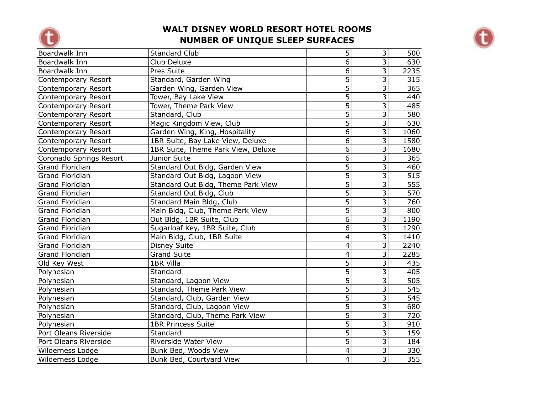



| Boardwalk Inn           | <b>Standard Club</b>               | $\overline{5}$          | $\overline{\mathbf{3}}$   | 500  |
|-------------------------|------------------------------------|-------------------------|---------------------------|------|
| Boardwalk Inn           | Club Deluxe                        | $\overline{6}$          | $\overline{3}$            | 630  |
| Boardwalk Inn           | Pres Suite                         | 6                       | $\overline{3}$            | 2235 |
| Contemporary Resort     | Standard, Garden Wing              | $\overline{5}$          | $\overline{3}$            | 315  |
| Contemporary Resort     | Garden Wing, Garden View           | $\overline{5}$          | 3                         | 365  |
| Contemporary Resort     | Tower, Bay Lake View               | $\overline{5}$          | $\overline{3}$            | 440  |
| Contemporary Resort     | Tower, Theme Park View             | $\overline{5}$          | $\overline{3}$            | 485  |
| Contemporary Resort     | Standard, Club                     | $\overline{5}$          | $\overline{3}$            | 580  |
| Contemporary Resort     | Magic Kingdom View, Club           | 5                       | 3                         | 630  |
| Contemporary Resort     | Garden Wing, King, Hospitality     | $\overline{6}$          | $\overline{\mathbf{3}}$   | 1060 |
| Contemporary Resort     | 1BR Suite, Bay Lake View, Deluxe   | $\overline{6}$          | 3                         | 1580 |
| Contemporary Resort     | 1BR Suite, Theme Park View, Deluxe | $\overline{6}$          | 3                         | 1680 |
| Coronado Springs Resort | Junior Suite                       | $\overline{6}$          | 3                         | 365  |
| <b>Grand Floridian</b>  | Standard Out Bldg, Garden View     | $\overline{5}$          | $\overline{3}$            | 460  |
| <b>Grand Floridian</b>  | Standard Out Bldg, Lagoon View     | $\overline{5}$          | $\overline{3}$            | 515  |
| <b>Grand Floridian</b>  | Standard Out Bldg, Theme Park View | $\overline{5}$          | 3                         | 555  |
| <b>Grand Floridian</b>  | Standard Out Bldg, Club            | $\overline{5}$          | $\overline{3}$            | 570  |
| <b>Grand Floridian</b>  | Standard Main Bldg, Club           | $\overline{5}$          | 3                         | 760  |
| Grand Floridian         | Main Bldg, Club, Theme Park View   | $\overline{5}$          | $\overline{\mathbf{3}}$   | 800  |
| Grand Floridian         | Out Bldg, 1BR Suite, Club          | $\overline{6}$          | $\overline{3}$            | 1190 |
| <b>Grand Floridian</b>  | Sugarloaf Key, 1BR Suite, Club     | $\overline{6}$          | $\overline{3}$            | 1290 |
| <b>Grand Floridian</b>  | Main Bldg, Club, 1BR Suite         | $\overline{\mathbf{4}}$ | $\overline{3}$            | 1410 |
| <b>Grand Floridian</b>  | <b>Disney Suite</b>                | 4                       | $\overline{3}$            | 2240 |
| Grand Floridian         | <b>Grand Suite</b>                 | $\overline{4}$          | $\overline{3}$            | 2285 |
| Old Key West            | 1BR Villa                          | $\overline{5}$          | 3                         | 435  |
| Polynesian              | Standard                           | $\overline{5}$          | 3                         | 405  |
| Polynesian              | Standard, Lagoon View              | $\overline{5}$          | 3                         | 505  |
| Polynesian              | Standard, Theme Park View          | $\overline{5}$          | $\overline{\overline{3}}$ | 545  |
| Polynesian              | Standard, Club, Garden View        | $\overline{5}$          | $\overline{3}$            | 545  |
| Polynesian              | Standard, Club, Lagoon View        | $\overline{5}$          | 3                         | 680  |
| Polynesian              | Standard, Club, Theme Park View    | $\overline{5}$          | $\overline{3}$            | 720  |
| Polynesian              | <b>1BR Princess Suite</b>          | $\overline{5}$          | 3                         | 910  |
| Port Oleans Riverside   | Standard                           | $\overline{5}$          | 3                         | 159  |
| Port Oleans Riverside   | Riverside Water View               | $\overline{5}$          | $\overline{3}$            | 184  |
| Wilderness Lodge        | Bunk Bed, Woods View               | 4                       | $\overline{3}$            | 330  |
| Wilderness Lodge        | Bunk Bed, Courtyard View           | $\overline{4}$          | $\overline{3}$            | 355  |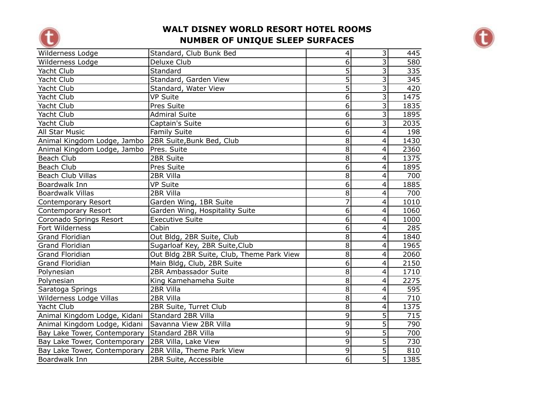



| Wilderness Lodge             | Standard, Club Bunk Bed                   | 4              | 3              | 445  |
|------------------------------|-------------------------------------------|----------------|----------------|------|
| Wilderness Lodge             | Deluxe Club                               | $\overline{6}$ | 3              | 580  |
| Yacht Club                   | Standard                                  | 5              | 3              | 335  |
| Yacht Club                   | Standard, Garden View                     | $\overline{5}$ | 3              | 345  |
| Yacht Club                   | Standard, Water View                      | $\overline{5}$ | 3              | 420  |
| Yacht Club                   | <b>VP Suite</b>                           | $\overline{6}$ | $\overline{3}$ | 1475 |
| Yacht Club                   | Pres Suite                                | $\overline{6}$ | 3              | 1835 |
| Yacht Club                   | <b>Admiral Suite</b>                      | 6              | 3              | 1895 |
| Yacht Club                   | Captain's Suite                           | $\overline{6}$ | $\overline{3}$ | 2035 |
| All Star Music               | <b>Family Suite</b>                       | 6              | 4              | 198  |
| Animal Kingdom Lodge, Jambo  | 2BR Suite, Bunk Bed, Club                 | 8              | 4              | 1430 |
| Animal Kingdom Lodge, Jambo  | Pres. Suite                               | $\overline{8}$ | 4              | 2360 |
| Beach Club                   | 2BR Suite                                 | $\overline{8}$ | 4              | 1375 |
| Beach Club                   | Pres Suite                                | $\overline{6}$ | 4              | 1895 |
| <b>Beach Club Villas</b>     | 2BR Villa                                 | $\overline{8}$ | 4              | 700  |
| Boardwalk Inn                | <b>VP Suite</b>                           | $\overline{6}$ | $\overline{4}$ | 1885 |
| <b>Boardwalk Villas</b>      | 2BR Villa                                 | $\overline{8}$ | 4              | 700  |
| <b>Contemporary Resort</b>   | Garden Wing, 1BR Suite                    | 7              | $\overline{4}$ | 1010 |
| Contemporary Resort          | Garden Wing, Hospitality Suite            | $\overline{6}$ | $\overline{4}$ | 1060 |
| Coronado Springs Resort      | <b>Executive Suite</b>                    | $\overline{6}$ | 4              | 1000 |
| Fort Wilderness              | Cabin                                     | $\overline{6}$ | $\overline{4}$ | 285  |
| <b>Grand Floridian</b>       | Out Bldg, 2BR Suite, Club                 | 8              | 4              | 1840 |
| <b>Grand Floridian</b>       | Sugarloaf Key, 2BR Suite, Club            | $\overline{8}$ | $\overline{4}$ | 1965 |
| Grand Floridian              | Out Bldg 2BR Suite, Club, Theme Park View | $\overline{8}$ | 4              | 2060 |
| <b>Grand Floridian</b>       | Main Bldg, Club, 2BR Suite                | $\overline{6}$ | 4              | 2150 |
| Polynesian                   | 2BR Ambassador Suite                      | $\overline{8}$ | $\overline{4}$ | 1710 |
| Polynesian                   | King Kamehameha Suite                     | $\overline{8}$ | 4              | 2275 |
| Saratoga Springs             | 2BR Villa                                 | $\overline{8}$ | 4              | 595  |
| Wilderness Lodge Villas      | 2BR Villa                                 | $\overline{8}$ | $\overline{4}$ | 710  |
| Yacht Club                   | 2BR Suite, Turret Club                    | $\overline{8}$ | 4              | 1375 |
| Animal Kingdom Lodge, Kidani | Standard 2BR Villa                        | 9              | 5              | 715  |
| Animal Kingdom Lodge, Kidani | Savanna View 2BR Villa                    | 9              | 5              | 790  |
| Bay Lake Tower, Contemporary | Standard 2BR Villa                        | 9              | $\overline{5}$ | 700  |
| Bay Lake Tower, Contemporary | 2BR Villa, Lake View                      | $\overline{9}$ | $\overline{5}$ | 730  |
| Bay Lake Tower, Contemporary | 2BR Villa, Theme Park View                | $\overline{9}$ | 5              | 810  |
| Boardwalk Inn                | 2BR Suite, Accessible                     | 6 <sup>1</sup> | 5              | 1385 |